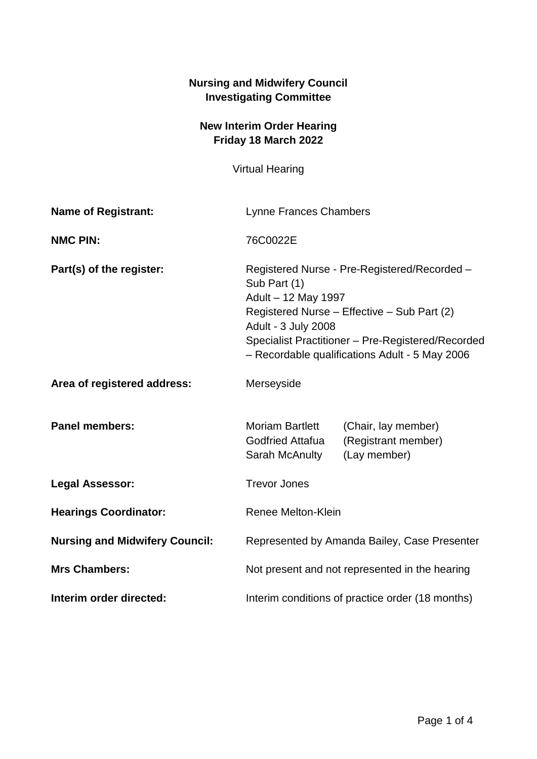| <b>Nursing and Midwifery Council</b><br><b>Investigating Committee</b> |                                                                                                                                                                                                                                                                  |                                                            |
|------------------------------------------------------------------------|------------------------------------------------------------------------------------------------------------------------------------------------------------------------------------------------------------------------------------------------------------------|------------------------------------------------------------|
| <b>New Interim Order Hearing</b><br>Friday 18 March 2022               |                                                                                                                                                                                                                                                                  |                                                            |
| <b>Virtual Hearing</b>                                                 |                                                                                                                                                                                                                                                                  |                                                            |
| <b>Name of Registrant:</b>                                             | Lynne Frances Chambers                                                                                                                                                                                                                                           |                                                            |
| <b>NMC PIN:</b>                                                        | 76C0022E                                                                                                                                                                                                                                                         |                                                            |
| Part(s) of the register:                                               | Registered Nurse - Pre-Registered/Recorded -<br>Sub Part (1)<br>Adult - 12 May 1997<br>Registered Nurse – Effective – Sub Part (2)<br>Adult - 3 July 2008<br>Specialist Practitioner - Pre-Registered/Recorded<br>- Recordable qualifications Adult - 5 May 2006 |                                                            |
| Area of registered address:                                            | Merseyside                                                                                                                                                                                                                                                       |                                                            |
| <b>Panel members:</b>                                                  | <b>Moriam Bartlett</b><br><b>Godfried Attafua</b><br>Sarah McAnulty                                                                                                                                                                                              | (Chair, lay member)<br>(Registrant member)<br>(Lay member) |
| <b>Legal Assessor:</b>                                                 | <b>Trevor Jones</b>                                                                                                                                                                                                                                              |                                                            |
| <b>Hearings Coordinator:</b>                                           | <b>Renee Melton-Klein</b>                                                                                                                                                                                                                                        |                                                            |
| <b>Nursing and Midwifery Council:</b>                                  | Represented by Amanda Bailey, Case Presenter                                                                                                                                                                                                                     |                                                            |
| <b>Mrs Chambers:</b>                                                   | Not present and not represented in the hearing                                                                                                                                                                                                                   |                                                            |
| Interim order directed:                                                | Interim conditions of practice order (18 months)                                                                                                                                                                                                                 |                                                            |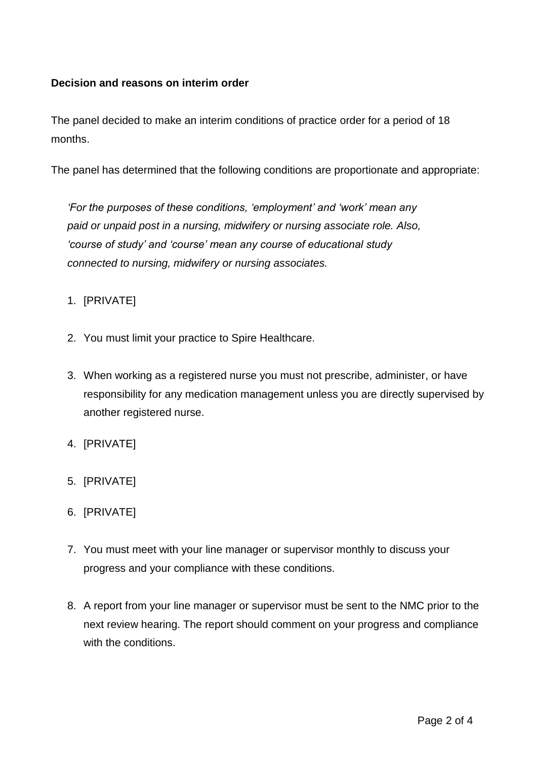## **Decision and reasons on interim order**

The panel decided to make an interim conditions of practice order for a period of 18 months.

The panel has determined that the following conditions are proportionate and appropriate:

*'For the purposes of these conditions, 'employment' and 'work' mean any paid or unpaid post in a nursing, midwifery or nursing associate role. Also, 'course of study' and 'course' mean any course of educational study connected to nursing, midwifery or nursing associates.*

## 1. [PRIVATE]

- 2. You must limit your practice to Spire Healthcare.
- 3. When working as a registered nurse you must not prescribe, administer, or have responsibility for any medication management unless you are directly supervised by another registered nurse.
- 4. [PRIVATE]
- 5. [PRIVATE]
- 6. [PRIVATE]
- 7. You must meet with your line manager or supervisor monthly to discuss your progress and your compliance with these conditions.
- 8. A report from your line manager or supervisor must be sent to the NMC prior to the next review hearing. The report should comment on your progress and compliance with the conditions.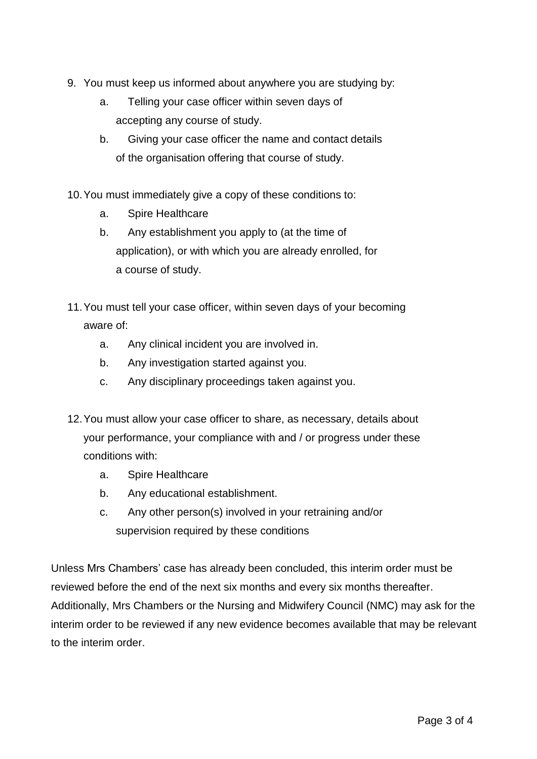- 9. You must keep us informed about anywhere you are studying by:
	- a. Telling your case officer within seven days of accepting any course of study.
	- b. Giving your case officer the name and contact details of the organisation offering that course of study.

10.You must immediately give a copy of these conditions to:

- a. Spire Healthcare
- b. Any establishment you apply to (at the time of application), or with which you are already enrolled, for a course of study.
- 11.You must tell your case officer, within seven days of your becoming aware of:
	- a. Any clinical incident you are involved in.
	- b. Any investigation started against you.
	- c. Any disciplinary proceedings taken against you.
- 12.You must allow your case officer to share, as necessary, details about your performance, your compliance with and / or progress under these conditions with:
	- a. Spire Healthcare
	- b. Any educational establishment.
	- c. Any other person(s) involved in your retraining and/or supervision required by these conditions

Unless Mrs Chambers' case has already been concluded, this interim order must be reviewed before the end of the next six months and every six months thereafter. Additionally, Mrs Chambers or the Nursing and Midwifery Council (NMC) may ask for the interim order to be reviewed if any new evidence becomes available that may be relevant to the interim order.